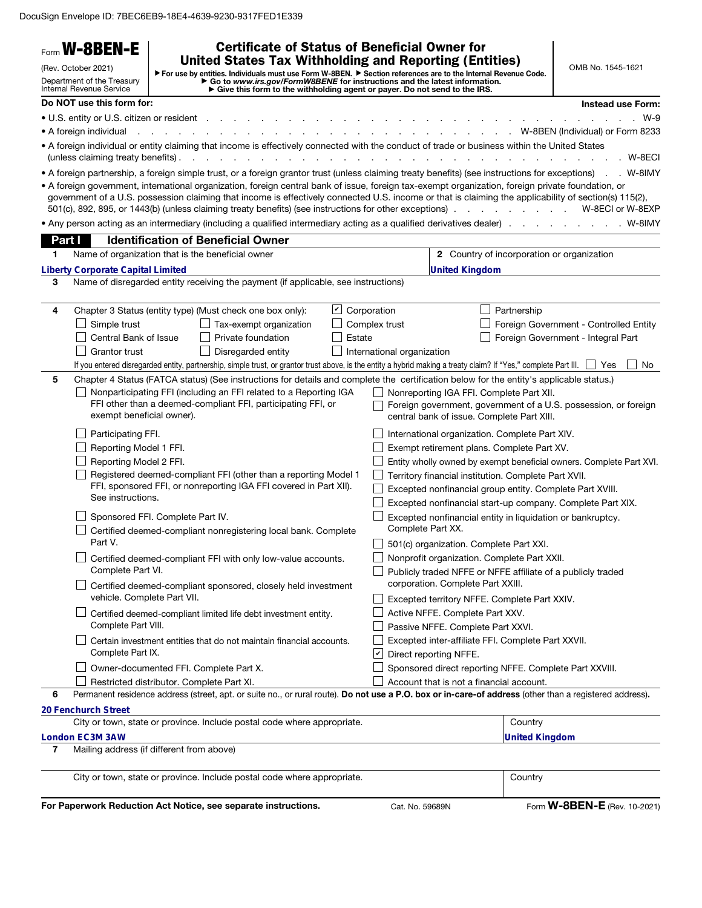DocuSign Envelope ID: 7BEC6EB9-18E4-4639-9230-9317FED1E339

|                                                                                                                                                                                                                                                                                                                                                                                                                                        | <b>W-8BEN-E</b>                                                                                                          |                                                                                                               | <b>Certificate of Status of Beneficial Owner for</b>                                                                                                                                                                                                                                                                                                                                                                   |                    |               |                                                                                                                                                                                                                                                                                                                                                                          |                                                   |                                                                                                                                        |
|----------------------------------------------------------------------------------------------------------------------------------------------------------------------------------------------------------------------------------------------------------------------------------------------------------------------------------------------------------------------------------------------------------------------------------------|--------------------------------------------------------------------------------------------------------------------------|---------------------------------------------------------------------------------------------------------------|------------------------------------------------------------------------------------------------------------------------------------------------------------------------------------------------------------------------------------------------------------------------------------------------------------------------------------------------------------------------------------------------------------------------|--------------------|---------------|--------------------------------------------------------------------------------------------------------------------------------------------------------------------------------------------------------------------------------------------------------------------------------------------------------------------------------------------------------------------------|---------------------------------------------------|----------------------------------------------------------------------------------------------------------------------------------------|
| <b>United States Tax Withholding and Reporting (Entities)</b><br>(Rev. October 2021)<br>▶ For use by entities. Individuals must use Form W-8BEN. ▶ Section references are to the Internal Revenue Code.<br>Department of the Treasury<br>► Go to www.irs.gov/FormW8BENE for instructions and the latest information.<br>► Give this form to the withholding agent or payer. Do not send to the IRS.<br><b>Internal Revenue Service</b> |                                                                                                                          |                                                                                                               |                                                                                                                                                                                                                                                                                                                                                                                                                        |                    |               |                                                                                                                                                                                                                                                                                                                                                                          |                                                   | OMB No. 1545-1621                                                                                                                      |
|                                                                                                                                                                                                                                                                                                                                                                                                                                        | Do NOT use this form for:                                                                                                |                                                                                                               |                                                                                                                                                                                                                                                                                                                                                                                                                        |                    |               |                                                                                                                                                                                                                                                                                                                                                                          |                                                   | Instead use Form:                                                                                                                      |
|                                                                                                                                                                                                                                                                                                                                                                                                                                        | • U.S. entity or U.S. citizen or resident.                                                                               |                                                                                                               |                                                                                                                                                                                                                                                                                                                                                                                                                        |                    |               |                                                                                                                                                                                                                                                                                                                                                                          |                                                   | $W-9$                                                                                                                                  |
|                                                                                                                                                                                                                                                                                                                                                                                                                                        | • A foreign individual                                                                                                   |                                                                                                               |                                                                                                                                                                                                                                                                                                                                                                                                                        |                    |               |                                                                                                                                                                                                                                                                                                                                                                          |                                                   | W-8BEN (Individual) or Form 8233                                                                                                       |
|                                                                                                                                                                                                                                                                                                                                                                                                                                        | (unless claiming treaty benefits).                                                                                       |                                                                                                               | . A foreign individual or entity claiming that income is effectively connected with the conduct of trade or business within the United States<br>.                                                                                                                                                                                                                                                                     |                    |               |                                                                                                                                                                                                                                                                                                                                                                          |                                                   | . W-8ECI                                                                                                                               |
|                                                                                                                                                                                                                                                                                                                                                                                                                                        |                                                                                                                          |                                                                                                               | • A foreign partnership, a foreign simple trust, or a foreign grantor trust (unless claiming treaty benefits) (see instructions for exceptions) . W-8IMY                                                                                                                                                                                                                                                               |                    |               |                                                                                                                                                                                                                                                                                                                                                                          |                                                   |                                                                                                                                        |
|                                                                                                                                                                                                                                                                                                                                                                                                                                        |                                                                                                                          |                                                                                                               | • A foreign government, international organization, foreign central bank of issue, foreign tax-exempt organization, foreign private foundation, or<br>government of a U.S. possession claiming that income is effectively connected U.S. income or that is claiming the applicability of section(s) 115(2),<br>501(c), 892, 895, or 1443(b) (unless claiming treaty benefits) (see instructions for other exceptions). |                    |               |                                                                                                                                                                                                                                                                                                                                                                          | the contract of the contract of the               | W-8ECI or W-8EXP                                                                                                                       |
|                                                                                                                                                                                                                                                                                                                                                                                                                                        |                                                                                                                          |                                                                                                               | • Any person acting as an intermediary (including a qualified intermediary acting as a qualified derivatives dealer) W-8IMY                                                                                                                                                                                                                                                                                            |                    |               |                                                                                                                                                                                                                                                                                                                                                                          |                                                   |                                                                                                                                        |
| Part I                                                                                                                                                                                                                                                                                                                                                                                                                                 |                                                                                                                          |                                                                                                               | <b>Identification of Beneficial Owner</b>                                                                                                                                                                                                                                                                                                                                                                              |                    |               |                                                                                                                                                                                                                                                                                                                                                                          |                                                   |                                                                                                                                        |
| 1.                                                                                                                                                                                                                                                                                                                                                                                                                                     | Name of organization that is the beneficial owner                                                                        |                                                                                                               |                                                                                                                                                                                                                                                                                                                                                                                                                        |                    |               |                                                                                                                                                                                                                                                                                                                                                                          | <b>2</b> Country of incorporation or organization |                                                                                                                                        |
|                                                                                                                                                                                                                                                                                                                                                                                                                                        | <b>Liberty Corporate Capital Limited</b>                                                                                 |                                                                                                               |                                                                                                                                                                                                                                                                                                                                                                                                                        |                    |               | <b>United Kingdom</b>                                                                                                                                                                                                                                                                                                                                                    |                                                   |                                                                                                                                        |
| 3                                                                                                                                                                                                                                                                                                                                                                                                                                      |                                                                                                                          |                                                                                                               | Name of disregarded entity receiving the payment (if applicable, see instructions)                                                                                                                                                                                                                                                                                                                                     |                    |               |                                                                                                                                                                                                                                                                                                                                                                          |                                                   |                                                                                                                                        |
| 4                                                                                                                                                                                                                                                                                                                                                                                                                                      |                                                                                                                          |                                                                                                               | Chapter 3 Status (entity type) (Must check one box only):                                                                                                                                                                                                                                                                                                                                                              | $\cup$ Corporation |               |                                                                                                                                                                                                                                                                                                                                                                          | Partnership                                       |                                                                                                                                        |
|                                                                                                                                                                                                                                                                                                                                                                                                                                        | Simple trust                                                                                                             |                                                                                                               | Tax-exempt organization                                                                                                                                                                                                                                                                                                                                                                                                |                    | Complex trust |                                                                                                                                                                                                                                                                                                                                                                          |                                                   | Foreign Government - Controlled Entity                                                                                                 |
|                                                                                                                                                                                                                                                                                                                                                                                                                                        | Central Bank of Issue                                                                                                    |                                                                                                               | Private foundation                                                                                                                                                                                                                                                                                                                                                                                                     | Estate             |               |                                                                                                                                                                                                                                                                                                                                                                          |                                                   | Foreign Government - Integral Part                                                                                                     |
|                                                                                                                                                                                                                                                                                                                                                                                                                                        | Grantor trust                                                                                                            |                                                                                                               | Disregarded entity                                                                                                                                                                                                                                                                                                                                                                                                     |                    |               | International organization                                                                                                                                                                                                                                                                                                                                               |                                                   |                                                                                                                                        |
|                                                                                                                                                                                                                                                                                                                                                                                                                                        |                                                                                                                          |                                                                                                               | If you entered disregarded entity, partnership, simple trust, or grantor trust above, is the entity a hybrid making a treaty claim? If "Yes," complete Part III.                                                                                                                                                                                                                                                       |                    |               |                                                                                                                                                                                                                                                                                                                                                                          |                                                   | No.<br>l Yes                                                                                                                           |
|                                                                                                                                                                                                                                                                                                                                                                                                                                        | exempt beneficial owner).<br>Participating FFI.<br>Reporting Model 1 FFI.<br>Reporting Model 2 FFI.<br>See instructions. |                                                                                                               | Nonparticipating FFI (including an FFI related to a Reporting IGA<br>FFI other than a deemed-compliant FFI, participating FFI, or<br>Registered deemed-compliant FFI (other than a reporting Model 1<br>FFI, sponsored FFI, or nonreporting IGA FFI covered in Part XII).                                                                                                                                              |                    |               | Nonreporting IGA FFI. Complete Part XII.<br>central bank of issue. Complete Part XIII.<br>International organization. Complete Part XIV.<br>Exempt retirement plans. Complete Part XV.<br>Territory financial institution. Complete Part XVII.<br>Excepted nonfinancial group entity. Complete Part XVIII.<br>Excepted nonfinancial start-up company. Complete Part XIX. |                                                   | Foreign government, government of a U.S. possession, or foreign<br>Entity wholly owned by exempt beneficial owners. Complete Part XVI. |
|                                                                                                                                                                                                                                                                                                                                                                                                                                        |                                                                                                                          | Sponsored FFI. Complete Part IV.<br>Certified deemed-compliant nonregistering local bank. Complete<br>Part V. |                                                                                                                                                                                                                                                                                                                                                                                                                        |                    |               | Excepted nonfinancial entity in liquidation or bankruptcy.<br>Complete Part XX.                                                                                                                                                                                                                                                                                          |                                                   |                                                                                                                                        |
|                                                                                                                                                                                                                                                                                                                                                                                                                                        |                                                                                                                          |                                                                                                               |                                                                                                                                                                                                                                                                                                                                                                                                                        |                    |               | 501(c) organization. Complete Part XXI.                                                                                                                                                                                                                                                                                                                                  |                                                   |                                                                                                                                        |
|                                                                                                                                                                                                                                                                                                                                                                                                                                        | Complete Part VI.                                                                                                        |                                                                                                               | Certified deemed-compliant FFI with only low-value accounts.                                                                                                                                                                                                                                                                                                                                                           |                    |               | Nonprofit organization. Complete Part XXII.<br>Publicly traded NFFE or NFFE affiliate of a publicly traded                                                                                                                                                                                                                                                               |                                                   |                                                                                                                                        |
|                                                                                                                                                                                                                                                                                                                                                                                                                                        | vehicle. Complete Part VII.                                                                                              |                                                                                                               | Certified deemed-compliant sponsored, closely held investment                                                                                                                                                                                                                                                                                                                                                          |                    |               | corporation. Complete Part XXIII.<br>Excepted territory NFFE. Complete Part XXIV.                                                                                                                                                                                                                                                                                        |                                                   |                                                                                                                                        |
|                                                                                                                                                                                                                                                                                                                                                                                                                                        | Complete Part VIII.                                                                                                      |                                                                                                               | Certified deemed-compliant limited life debt investment entity.                                                                                                                                                                                                                                                                                                                                                        |                    |               | Active NFFE. Complete Part XXV.<br>Passive NFFE. Complete Part XXVI.                                                                                                                                                                                                                                                                                                     |                                                   |                                                                                                                                        |
|                                                                                                                                                                                                                                                                                                                                                                                                                                        | Complete Part IX.                                                                                                        |                                                                                                               | Certain investment entities that do not maintain financial accounts.                                                                                                                                                                                                                                                                                                                                                   |                    | ⊻             | Excepted inter-affiliate FFI. Complete Part XXVII.<br>Direct reporting NFFE.                                                                                                                                                                                                                                                                                             |                                                   |                                                                                                                                        |
|                                                                                                                                                                                                                                                                                                                                                                                                                                        |                                                                                                                          | Owner-documented FFI. Complete Part X.                                                                        |                                                                                                                                                                                                                                                                                                                                                                                                                        |                    |               | Sponsored direct reporting NFFE. Complete Part XXVIII.                                                                                                                                                                                                                                                                                                                   |                                                   |                                                                                                                                        |
|                                                                                                                                                                                                                                                                                                                                                                                                                                        |                                                                                                                          | Restricted distributor. Complete Part XI.                                                                     |                                                                                                                                                                                                                                                                                                                                                                                                                        |                    |               | Account that is not a financial account.                                                                                                                                                                                                                                                                                                                                 |                                                   |                                                                                                                                        |
| 6                                                                                                                                                                                                                                                                                                                                                                                                                                      |                                                                                                                          |                                                                                                               | Permanent residence address (street, apt. or suite no., or rural route). Do not use a P.O. box or in-care-of address (other than a registered address).                                                                                                                                                                                                                                                                |                    |               |                                                                                                                                                                                                                                                                                                                                                                          |                                                   |                                                                                                                                        |
|                                                                                                                                                                                                                                                                                                                                                                                                                                        | 20 Fenchurch Street                                                                                                      |                                                                                                               |                                                                                                                                                                                                                                                                                                                                                                                                                        |                    |               |                                                                                                                                                                                                                                                                                                                                                                          |                                                   |                                                                                                                                        |
|                                                                                                                                                                                                                                                                                                                                                                                                                                        |                                                                                                                          |                                                                                                               | City or town, state or province. Include postal code where appropriate.                                                                                                                                                                                                                                                                                                                                                |                    |               |                                                                                                                                                                                                                                                                                                                                                                          | Country                                           |                                                                                                                                        |
| 7                                                                                                                                                                                                                                                                                                                                                                                                                                      | London EC3M 3AW<br>Mailing address (if different from above)                                                             |                                                                                                               |                                                                                                                                                                                                                                                                                                                                                                                                                        |                    |               |                                                                                                                                                                                                                                                                                                                                                                          | <b>United Kingdom</b>                             |                                                                                                                                        |
|                                                                                                                                                                                                                                                                                                                                                                                                                                        |                                                                                                                          |                                                                                                               | City or town, state or province. Include postal code where appropriate.                                                                                                                                                                                                                                                                                                                                                |                    |               |                                                                                                                                                                                                                                                                                                                                                                          | Country                                           |                                                                                                                                        |
|                                                                                                                                                                                                                                                                                                                                                                                                                                        |                                                                                                                          |                                                                                                               | For Paperwork Reduction Act Notice, see separate instructions.                                                                                                                                                                                                                                                                                                                                                         |                    |               | Cat. No. 59689N                                                                                                                                                                                                                                                                                                                                                          |                                                   | Form <b>W-8BEN-E</b> (Rev. 10-2021)                                                                                                    |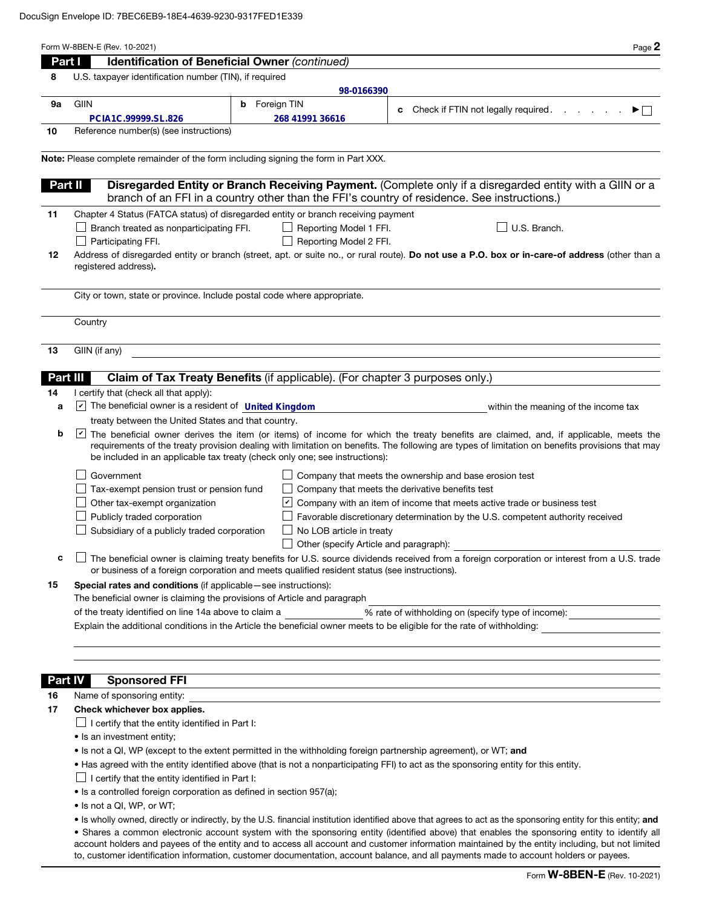| Part I         | Identification of Beneficial Owner (continued)                                                                                                                                                                                                                                                                                                                                                                                           |  |  |  |  |  |  |
|----------------|------------------------------------------------------------------------------------------------------------------------------------------------------------------------------------------------------------------------------------------------------------------------------------------------------------------------------------------------------------------------------------------------------------------------------------------|--|--|--|--|--|--|
| 8              | U.S. taxpayer identification number (TIN), if required                                                                                                                                                                                                                                                                                                                                                                                   |  |  |  |  |  |  |
|                | 98-0166390                                                                                                                                                                                                                                                                                                                                                                                                                               |  |  |  |  |  |  |
| 9а             | <b>GIIN</b><br><b>b</b> Foreign TIN<br>c Check if FTIN not legally required.<br>▶□                                                                                                                                                                                                                                                                                                                                                       |  |  |  |  |  |  |
|                | 268 41991 36616<br>PCIA1C.99999.SL.826                                                                                                                                                                                                                                                                                                                                                                                                   |  |  |  |  |  |  |
| 10             | Reference number(s) (see instructions)                                                                                                                                                                                                                                                                                                                                                                                                   |  |  |  |  |  |  |
|                | Note: Please complete remainder of the form including signing the form in Part XXX.                                                                                                                                                                                                                                                                                                                                                      |  |  |  |  |  |  |
|                | Disregarded Entity or Branch Receiving Payment. (Complete only if a disregarded entity with a GIIN or a<br>Part II                                                                                                                                                                                                                                                                                                                       |  |  |  |  |  |  |
|                | branch of an FFI in a country other than the FFI's country of residence. See instructions.)                                                                                                                                                                                                                                                                                                                                              |  |  |  |  |  |  |
| 11             | Chapter 4 Status (FATCA status) of disregarded entity or branch receiving payment                                                                                                                                                                                                                                                                                                                                                        |  |  |  |  |  |  |
|                | $\Box$ Branch treated as nonparticipating FFI.<br>U.S. Branch.<br>Reporting Model 1 FFI.                                                                                                                                                                                                                                                                                                                                                 |  |  |  |  |  |  |
|                | Reporting Model 2 FFI.<br>Participating FFI.                                                                                                                                                                                                                                                                                                                                                                                             |  |  |  |  |  |  |
| 12             | Address of disregarded entity or branch (street, apt. or suite no., or rural route). Do not use a P.O. box or in-care-of address (other than a<br>registered address).                                                                                                                                                                                                                                                                   |  |  |  |  |  |  |
|                | City or town, state or province. Include postal code where appropriate.                                                                                                                                                                                                                                                                                                                                                                  |  |  |  |  |  |  |
|                | Country                                                                                                                                                                                                                                                                                                                                                                                                                                  |  |  |  |  |  |  |
|                |                                                                                                                                                                                                                                                                                                                                                                                                                                          |  |  |  |  |  |  |
| 13             | GIIN (if any)                                                                                                                                                                                                                                                                                                                                                                                                                            |  |  |  |  |  |  |
| Part III       | Claim of Tax Treaty Benefits (if applicable). (For chapter 3 purposes only.)                                                                                                                                                                                                                                                                                                                                                             |  |  |  |  |  |  |
| 14             | I certify that (check all that apply):                                                                                                                                                                                                                                                                                                                                                                                                   |  |  |  |  |  |  |
| a              | $\triangleright$ The beneficial owner is a resident of United Kingdom<br>within the meaning of the income tax                                                                                                                                                                                                                                                                                                                            |  |  |  |  |  |  |
|                | treaty between the United States and that country.                                                                                                                                                                                                                                                                                                                                                                                       |  |  |  |  |  |  |
| b              | The beneficial owner derives the item (or items) of income for which the treaty benefits are claimed, and, if applicable, meets the<br>requirements of the treaty provision dealing with limitation on benefits. The following are types of limitation on benefits provisions that may<br>be included in an applicable tax treaty (check only one; see instructions):                                                                    |  |  |  |  |  |  |
|                | Government<br>Company that meets the ownership and base erosion test                                                                                                                                                                                                                                                                                                                                                                     |  |  |  |  |  |  |
|                | Tax-exempt pension trust or pension fund<br>Company that meets the derivative benefits test                                                                                                                                                                                                                                                                                                                                              |  |  |  |  |  |  |
|                | Other tax-exempt organization<br>$\vee$ Company with an item of income that meets active trade or business test                                                                                                                                                                                                                                                                                                                          |  |  |  |  |  |  |
|                | Publicly traded corporation<br>Favorable discretionary determination by the U.S. competent authority received                                                                                                                                                                                                                                                                                                                            |  |  |  |  |  |  |
|                | Subsidiary of a publicly traded corporation<br>No LOB article in treaty                                                                                                                                                                                                                                                                                                                                                                  |  |  |  |  |  |  |
|                | Other (specify Article and paragraph):                                                                                                                                                                                                                                                                                                                                                                                                   |  |  |  |  |  |  |
| c              | □ The beneficial owner is claiming treaty benefits for U.S. source dividends received from a foreign corporation or interest from a U.S. trade<br>or business of a foreign corporation and meets qualified resident status (see instructions).                                                                                                                                                                                           |  |  |  |  |  |  |
| 15             | <b>Special rates and conditions</b> (if applicable – see instructions):                                                                                                                                                                                                                                                                                                                                                                  |  |  |  |  |  |  |
|                | The beneficial owner is claiming the provisions of Article and paragraph                                                                                                                                                                                                                                                                                                                                                                 |  |  |  |  |  |  |
|                | of the treaty identified on line 14a above to claim a<br>% rate of withholding on (specify type of income): _____________________________                                                                                                                                                                                                                                                                                                |  |  |  |  |  |  |
|                | Explain the additional conditions in the Article the beneficial owner meets to be eligible for the rate of withholding:                                                                                                                                                                                                                                                                                                                  |  |  |  |  |  |  |
|                |                                                                                                                                                                                                                                                                                                                                                                                                                                          |  |  |  |  |  |  |
| <b>Part IV</b> | <b>Sponsored FFI</b>                                                                                                                                                                                                                                                                                                                                                                                                                     |  |  |  |  |  |  |
| 16             | Name of sponsoring entity:                                                                                                                                                                                                                                                                                                                                                                                                               |  |  |  |  |  |  |
| 17             | Check whichever box applies.                                                                                                                                                                                                                                                                                                                                                                                                             |  |  |  |  |  |  |
|                | $\Box$ I certify that the entity identified in Part I:                                                                                                                                                                                                                                                                                                                                                                                   |  |  |  |  |  |  |
|                | • Is an investment entity;                                                                                                                                                                                                                                                                                                                                                                                                               |  |  |  |  |  |  |
|                | • Is not a QI, WP (except to the extent permitted in the withholding foreign partnership agreement), or WT; and                                                                                                                                                                                                                                                                                                                          |  |  |  |  |  |  |
|                | • Has agreed with the entity identified above (that is not a nonparticipating FFI) to act as the sponsoring entity for this entity.                                                                                                                                                                                                                                                                                                      |  |  |  |  |  |  |
|                | $\Box$ I certify that the entity identified in Part I:                                                                                                                                                                                                                                                                                                                                                                                   |  |  |  |  |  |  |
|                | • Is a controlled foreign corporation as defined in section 957(a);                                                                                                                                                                                                                                                                                                                                                                      |  |  |  |  |  |  |
|                | • Is not a QI, WP, or WT;                                                                                                                                                                                                                                                                                                                                                                                                                |  |  |  |  |  |  |
|                | • Is wholly owned, directly or indirectly, by the U.S. financial institution identified above that agrees to act as the sponsoring entity for this entity; and                                                                                                                                                                                                                                                                           |  |  |  |  |  |  |
|                | • Shares a common electronic account system with the sponsoring entity (identified above) that enables the sponsoring entity to identify all<br>account holders and payees of the entity and to access all account and customer information maintained by the entity including, but not limited<br>to, customer identification information, customer documentation, account balance, and all payments made to account holders or payees. |  |  |  |  |  |  |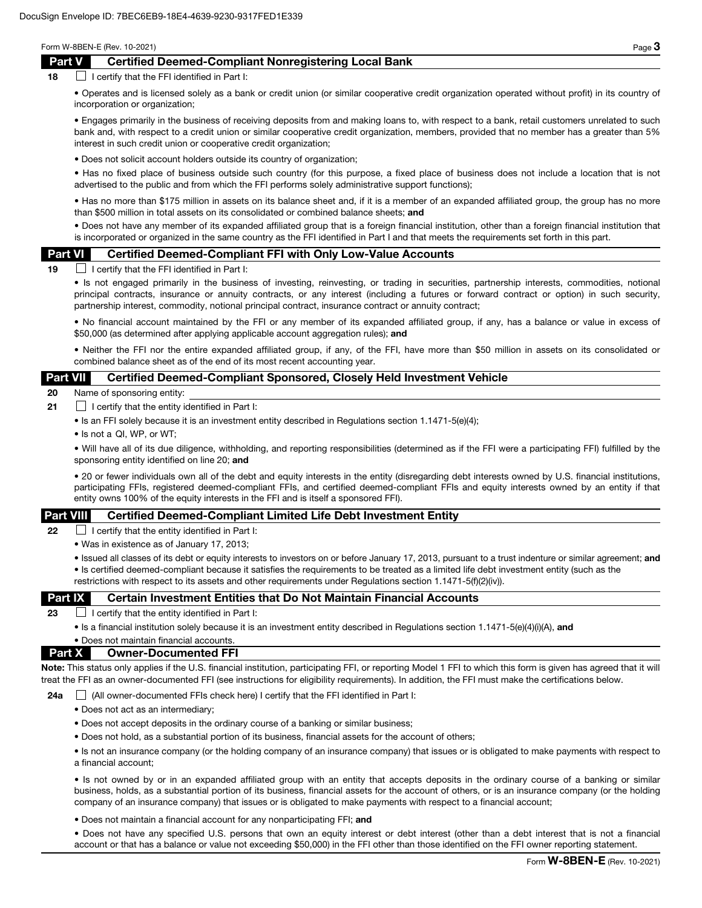## Part V Certified Deemed-Compliant Nonregistering Local Bank

 $18$  I certify that the FFI identified in Part I:

• Operates and is licensed solely as a bank or credit union (or similar cooperative credit organization operated without profit) in its country of incorporation or organization;

• Engages primarily in the business of receiving deposits from and making loans to, with respect to a bank, retail customers unrelated to such bank and, with respect to a credit union or similar cooperative credit organization, members, provided that no member has a greater than 5% interest in such credit union or cooperative credit organization;

• Does not solicit account holders outside its country of organization;

• Has no fixed place of business outside such country (for this purpose, a fixed place of business does not include a location that is not advertised to the public and from which the FFI performs solely administrative support functions);

• Has no more than \$175 million in assets on its balance sheet and, if it is a member of an expanded affiliated group, the group has no more than \$500 million in total assets on its consolidated or combined balance sheets; and

• Does not have any member of its expanded affiliated group that is a foreign financial institution, other than a foreign financial institution that is incorporated or organized in the same country as the FFI identified in Part I and that meets the requirements set forth in this part.

#### Part VI Certified Deemed-Compliant FFI with Only Low-Value Accounts

 $19$  I certify that the FFI identified in Part I:

• Is not engaged primarily in the business of investing, reinvesting, or trading in securities, partnership interests, commodities, notional principal contracts, insurance or annuity contracts, or any interest (including a futures or forward contract or option) in such security, partnership interest, commodity, notional principal contract, insurance contract or annuity contract;

• No financial account maintained by the FFI or any member of its expanded affiliated group, if any, has a balance or value in excess of \$50,000 (as determined after applying applicable account aggregation rules); and

• Neither the FFI nor the entire expanded affiliated group, if any, of the FFI, have more than \$50 million in assets on its consolidated or combined balance sheet as of the end of its most recent accounting year.

## Part VII Certified Deemed-Compliant Sponsored, Closely Held Investment Vehicle

20 Name of sponsoring entity:

- **21**  $\Box$  I certify that the entity identified in Part I:
	- Is an FFI solely because it is an investment entity described in Regulations section 1.1471-5(e)(4);
	- Is not a QI, WP, or WT;

• Will have all of its due diligence, withholding, and reporting responsibilities (determined as if the FFI were a participating FFI) fulfilled by the sponsoring entity identified on line 20; and

• 20 or fewer individuals own all of the debt and equity interests in the entity (disregarding debt interests owned by U.S. financial institutions, participating FFIs, registered deemed-compliant FFIs, and certified deemed-compliant FFIs and equity interests owned by an entity if that entity owns 100% of the equity interests in the FFI and is itself a sponsored FFI).

### Part VIII Certified Deemed-Compliant Limited Life Debt Investment Entity

**22**  $\Box$  I certify that the entity identified in Part I:

• Was in existence as of January 17, 2013;

• Issued all classes of its debt or equity interests to investors on or before January 17, 2013, pursuant to a trust indenture or similar agreement; and • Is certified deemed-compliant because it satisfies the requirements to be treated as a limited life debt investment entity (such as the restrictions with respect to its assets and other requirements under Regulations section 1.1471-5(f)(2)(iv)).

### **Part IX** Certain Investment Entities that Do Not Maintain Financial Accounts

23  $\Box$  I certify that the entity identified in Part I:

• Is a financial institution solely because it is an investment entity described in Regulations section 1.1471-5(e)(4)(i)(A), and

### • Does not maintain financial accounts. Part X Owner-Documented FFI

Note: This status only applies if the U.S. financial institution, participating FFI, or reporting Model 1 FFI to which this form is given has agreed that it will treat the FFI as an owner-documented FFI (see instructions for eligibility requirements). In addition, the FFI must make the certifications below.

24a  $\Box$  (All owner-documented FFIs check here) I certify that the FFI identified in Part I:

- Does not act as an intermediary;
- Does not accept deposits in the ordinary course of a banking or similar business;
- Does not hold, as a substantial portion of its business, financial assets for the account of others;

• Is not an insurance company (or the holding company of an insurance company) that issues or is obligated to make payments with respect to a financial account;

• Is not owned by or in an expanded affiliated group with an entity that accepts deposits in the ordinary course of a banking or similar business, holds, as a substantial portion of its business, financial assets for the account of others, or is an insurance company (or the holding company of an insurance company) that issues or is obligated to make payments with respect to a financial account;

• Does not maintain a financial account for any nonparticipating FFI; and

• Does not have any specified U.S. persons that own an equity interest or debt interest (other than a debt interest that is not a financial account or that has a balance or value not exceeding \$50,000) in the FFI other than those identified on the FFI owner reporting statement.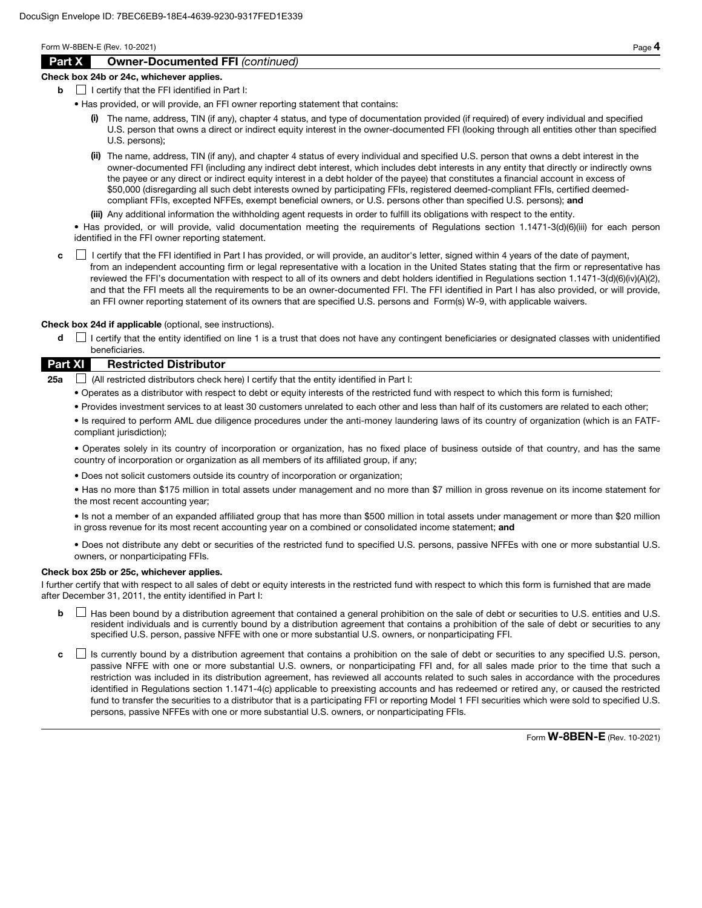## Part X Owner-Documented FFI *(continued)*

#### Check box 24b or 24c, whichever applies.

- $\mathbf{b}$  | I certify that the FFI identified in Part I:
	- Has provided, or will provide, an FFI owner reporting statement that contains:
		- (i) The name, address, TIN (if any), chapter 4 status, and type of documentation provided (if required) of every individual and specified U.S. person that owns a direct or indirect equity interest in the owner-documented FFI (looking through all entities other than specified U.S. persons);
		- (ii) The name, address, TIN (if any), and chapter 4 status of every individual and specified U.S. person that owns a debt interest in the owner-documented FFI (including any indirect debt interest, which includes debt interests in any entity that directly or indirectly owns the payee or any direct or indirect equity interest in a debt holder of the payee) that constitutes a financial account in excess of \$50,000 (disregarding all such debt interests owned by participating FFIs, registered deemed-compliant FFIs, certified deemedcompliant FFIs, excepted NFFEs, exempt beneficial owners, or U.S. persons other than specified U.S. persons); and
		- (iii) Any additional information the withholding agent requests in order to fulfill its obligations with respect to the entity.

• Has provided, or will provide, valid documentation meeting the requirements of Regulations section 1.1471-3(d)(6)(iii) for each person identified in the FFI owner reporting statement.

c **I** certify that the FFI identified in Part I has provided, or will provide, an auditor's letter, signed within 4 years of the date of payment, from an independent accounting firm or legal representative with a location in the United States stating that the firm or representative has reviewed the FFI's documentation with respect to all of its owners and debt holders identified in Regulations section 1.1471-3(d)(6)(iv)(A)(2), and that the FFI meets all the requirements to be an owner-documented FFI. The FFI identified in Part I has also provided, or will provide, an FFI owner reporting statement of its owners that are specified U.S. persons and Form(s) W-9, with applicable waivers.

Check box 24d if applicable (optional, see instructions).

d  $\Box$  I certify that the entity identified on line 1 is a trust that does not have any contingent beneficiaries or designated classes with unidentified beneficiaries.

## Part XI Restricted Distributor

**25a**  $\Box$  (All restricted distributors check here) I certify that the entity identified in Part I:

- Operates as a distributor with respect to debt or equity interests of the restricted fund with respect to which this form is furnished;
- Provides investment services to at least 30 customers unrelated to each other and less than half of its customers are related to each other;

• Is required to perform AML due diligence procedures under the anti-money laundering laws of its country of organization (which is an FATFcompliant jurisdiction);

• Operates solely in its country of incorporation or organization, has no fixed place of business outside of that country, and has the same country of incorporation or organization as all members of its affiliated group, if any;

• Does not solicit customers outside its country of incorporation or organization;

• Has no more than \$175 million in total assets under management and no more than \$7 million in gross revenue on its income statement for the most recent accounting year;

• Is not a member of an expanded affiliated group that has more than \$500 million in total assets under management or more than \$20 million in gross revenue for its most recent accounting year on a combined or consolidated income statement; and

• Does not distribute any debt or securities of the restricted fund to specified U.S. persons, passive NFFEs with one or more substantial U.S. owners, or nonparticipating FFIs.

### Check box 25b or 25c, whichever applies.

I further certify that with respect to all sales of debt or equity interests in the restricted fund with respect to which this form is furnished that are made after December 31, 2011, the entity identified in Part I:

- **b**  $\Box$  Has been bound by a distribution agreement that contained a general prohibition on the sale of debt or securities to U.S. entities and U.S. resident individuals and is currently bound by a distribution agreement that contains a prohibition of the sale of debt or securities to any specified U.S. person, passive NFFE with one or more substantial U.S. owners, or nonparticipating FFI.
- c  $\Box$  Is currently bound by a distribution agreement that contains a prohibition on the sale of debt or securities to any specified U.S. person, passive NFFE with one or more substantial U.S. owners, or nonparticipating FFI and, for all sales made prior to the time that such a restriction was included in its distribution agreement, has reviewed all accounts related to such sales in accordance with the procedures identified in Regulations section 1.1471-4(c) applicable to preexisting accounts and has redeemed or retired any, or caused the restricted fund to transfer the securities to a distributor that is a participating FFI or reporting Model 1 FFI securities which were sold to specified U.S. persons, passive NFFEs with one or more substantial U.S. owners, or nonparticipating FFIs.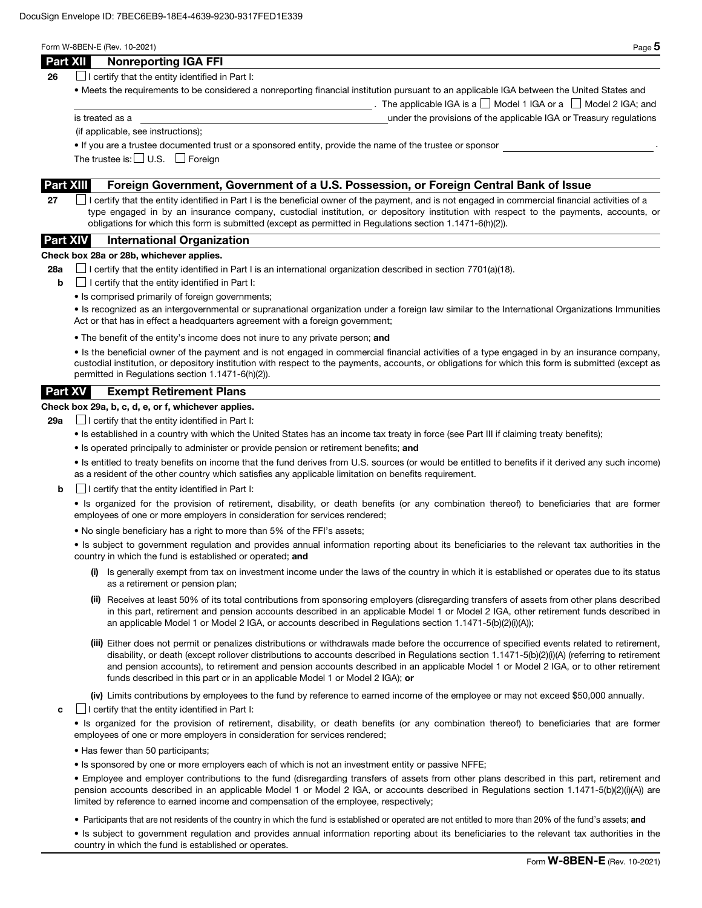| × |
|---|
| ۹ |

The applicable IGA is a  $\Box$  Model 1 IGA or a  $\Box$  Model 2 IGA; and

**26**  $\Box$  I certify that the entity identified in Part I:

• Meets the requirements to be considered a nonreporting financial institution pursuant to an applicable IGA between the United States and

is treated as a under the provisions of the applicable IGA or Treasury regulations

(if applicable, see instructions);

• If you are a trustee documented trust or a sponsored entity, provide the name of the trustee or sponsor .

The trustee is:  $\Box$  U.S.  $\Box$  Foreign

## Part XIII Foreign Government, Government of a U.S. Possession, or Foreign Central Bank of Issue

27  $\Box$  I certify that the entity identified in Part I is the beneficial owner of the payment, and is not engaged in commercial financial activities of a type engaged in by an insurance company, custodial institution, or depository institution with respect to the payments, accounts, or obligations for which this form is submitted (except as permitted in Regulations section 1.1471-6(h)(2)).

## Part XIV International Organization

#### Check box 28a or 28b, whichever applies.

28a  $\Box$  I certify that the entity identified in Part I is an international organization described in section 7701(a)(18).

- $\mathbf{b}$   $\Box$  I certify that the entity identified in Part I:
	- Is comprised primarily of foreign governments;

• Is recognized as an intergovernmental or supranational organization under a foreign law similar to the International Organizations Immunities Act or that has in effect a headquarters agreement with a foreign government;

• The benefit of the entity's income does not inure to any private person; and

• Is the beneficial owner of the payment and is not engaged in commercial financial activities of a type engaged in by an insurance company, custodial institution, or depository institution with respect to the payments, accounts, or obligations for which this form is submitted (except as permitted in Regulations section 1.1471-6(h)(2)).

## Part XV Exempt Retirement Plans

## Check box 29a, b, c, d, e, or f, whichever applies.

**29a**  $\Box$  I certify that the entity identified in Part I:

- Is established in a country with which the United States has an income tax treaty in force (see Part III if claiming treaty benefits);
- Is operated principally to administer or provide pension or retirement benefits; and

• Is entitled to treaty benefits on income that the fund derives from U.S. sources (or would be entitled to benefits if it derived any such income) as a resident of the other country which satisfies any applicable limitation on benefits requirement.

 $\mathbf{b}$   $\Box$  I certify that the entity identified in Part I:

• Is organized for the provision of retirement, disability, or death benefits (or any combination thereof) to beneficiaries that are former employees of one or more employers in consideration for services rendered;

• No single beneficiary has a right to more than 5% of the FFI's assets;

• Is subject to government regulation and provides annual information reporting about its beneficiaries to the relevant tax authorities in the country in which the fund is established or operated; and

- (i) Is generally exempt from tax on investment income under the laws of the country in which it is established or operates due to its status as a retirement or pension plan;
- (ii) Receives at least 50% of its total contributions from sponsoring employers (disregarding transfers of assets from other plans described in this part, retirement and pension accounts described in an applicable Model 1 or Model 2 IGA, other retirement funds described in an applicable Model 1 or Model 2 IGA, or accounts described in Regulations section 1.1471-5(b)(2)(i)(A));
- (iii) Either does not permit or penalizes distributions or withdrawals made before the occurrence of specified events related to retirement, disability, or death (except rollover distributions to accounts described in Regulations section 1.1471-5(b)(2)(i)(A) (referring to retirement and pension accounts), to retirement and pension accounts described in an applicable Model 1 or Model 2 IGA, or to other retirement funds described in this part or in an applicable Model 1 or Model 2 IGA); or

(iv) Limits contributions by employees to the fund by reference to earned income of the employee or may not exceed \$50,000 annually.

 $\mathbf{c}$   $\Box$  I certify that the entity identified in Part I:

• Is organized for the provision of retirement, disability, or death benefits (or any combination thereof) to beneficiaries that are former employees of one or more employers in consideration for services rendered;

- Has fewer than 50 participants;
- Is sponsored by one or more employers each of which is not an investment entity or passive NFFE;

• Employee and employer contributions to the fund (disregarding transfers of assets from other plans described in this part, retirement and pension accounts described in an applicable Model 1 or Model 2 IGA, or accounts described in Regulations section 1.1471-5(b)(2)(i)(A)) are limited by reference to earned income and compensation of the employee, respectively;

• Participants that are not residents of the country in which the fund is established or operated are not entitled to more than 20% of the fund's assets; and

• Is subject to government regulation and provides annual information reporting about its beneficiaries to the relevant tax authorities in the country in which the fund is established or operates.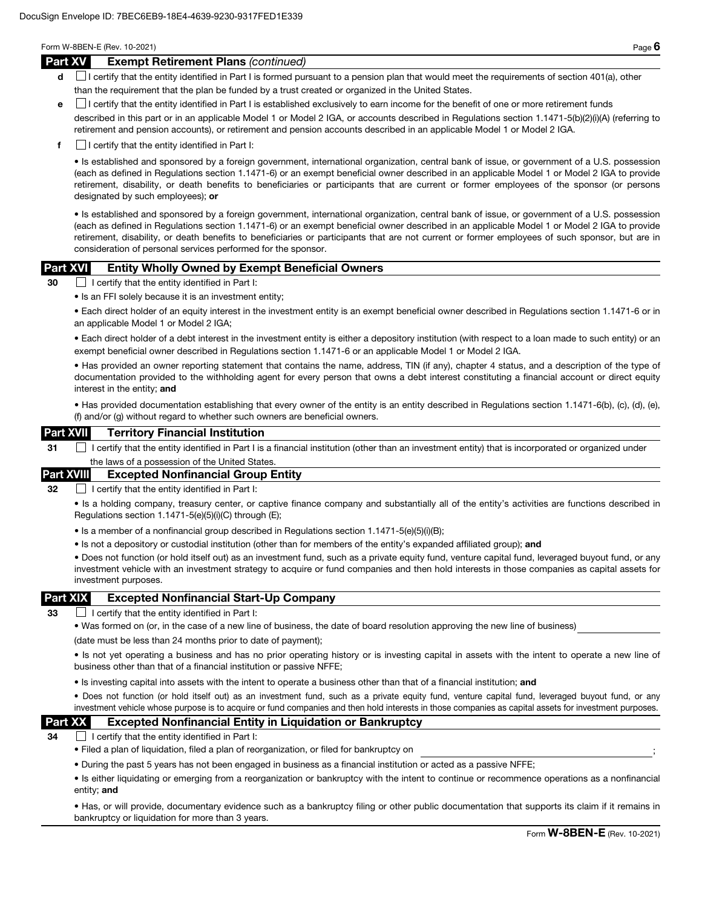#### Part XV Exempt Retirement Plans *(continued)*

- d **I** certify that the entity identified in Part I is formed pursuant to a pension plan that would meet the requirements of section 401(a), other than the requirement that the plan be funded by a trust created or organized in the United States.
- e I certify that the entity identified in Part I is established exclusively to earn income for the benefit of one or more retirement funds

described in this part or in an applicable Model 1 or Model 2 IGA, or accounts described in Regulations section 1.1471-5(b)(2)(i)(A) (referring to retirement and pension accounts), or retirement and pension accounts described in an applicable Model 1 or Model 2 IGA.

 $\mathbf{f}$  I certify that the entity identified in Part I:

• Is established and sponsored by a foreign government, international organization, central bank of issue, or government of a U.S. possession (each as defined in Regulations section 1.1471-6) or an exempt beneficial owner described in an applicable Model 1 or Model 2 IGA to provide retirement, disability, or death benefits to beneficiaries or participants that are current or former employees of the sponsor (or persons designated by such employees); or

• Is established and sponsored by a foreign government, international organization, central bank of issue, or government of a U.S. possession (each as defined in Regulations section 1.1471-6) or an exempt beneficial owner described in an applicable Model 1 or Model 2 IGA to provide retirement, disability, or death benefits to beneficiaries or participants that are not current or former employees of such sponsor, but are in consideration of personal services performed for the sponsor.

## Part XVI Entity Wholly Owned by Exempt Beneficial Owners

30 I certify that the entity identified in Part I:

• Is an FFI solely because it is an investment entity;

• Each direct holder of an equity interest in the investment entity is an exempt beneficial owner described in Regulations section 1.1471-6 or in an applicable Model 1 or Model 2 IGA;

• Each direct holder of a debt interest in the investment entity is either a depository institution (with respect to a loan made to such entity) or an exempt beneficial owner described in Regulations section 1.1471-6 or an applicable Model 1 or Model 2 IGA.

• Has provided an owner reporting statement that contains the name, address, TIN (if any), chapter 4 status, and a description of the type of documentation provided to the withholding agent for every person that owns a debt interest constituting a financial account or direct equity interest in the entity; and

• Has provided documentation establishing that every owner of the entity is an entity described in Regulations section 1.1471-6(b), (c), (d), (e), (f) and/or (g) without regard to whether such owners are beneficial owners.

### Part XVII Territory Financial Institution

31 I certify that the entity identified in Part I is a financial institution (other than an investment entity) that is incorporated or organized under the laws of a possession of the United States

### Part XVIII Excepted Nonfinancial Group Entity

32 **I certify that the entity identified in Part I:** 

• Is a holding company, treasury center, or captive finance company and substantially all of the entity's activities are functions described in Regulations section 1.1471-5(e)(5)(i)(C) through (E);

- Is a member of a nonfinancial group described in Regulations section 1.1471-5(e)(5)(i)(B);
- Is not a depository or custodial institution (other than for members of the entity's expanded affiliated group); and

• Does not function (or hold itself out) as an investment fund, such as a private equity fund, venture capital fund, leveraged buyout fund, or any investment vehicle with an investment strategy to acquire or fund companies and then hold interests in those companies as capital assets for investment purposes.

### Part XIX Excepted Nonfinancial Start-Up Company

33  $\Box$  I certify that the entity identified in Part I:

• Was formed on (or, in the case of a new line of business, the date of board resolution approving the new line of business)

(date must be less than 24 months prior to date of payment);

• Is not yet operating a business and has no prior operating history or is investing capital in assets with the intent to operate a new line of business other than that of a financial institution or passive NFFE;

• Is investing capital into assets with the intent to operate a business other than that of a financial institution; and

• Does not function (or hold itself out) as an investment fund, such as a private equity fund, venture capital fund, leveraged buyout fund, or any investment vehicle whose purpose is to acquire or fund companies and then hold interests in those companies as capital assets for investment purposes.

## Part XX Excepted Nonfinancial Entity in Liquidation or Bankruptcy

 $34$   $\Box$  I certify that the entity identified in Part I:

- Filed a plan of liquidation, filed a plan of reorganization, or filed for bankruptcy on ;
- During the past 5 years has not been engaged in business as a financial institution or acted as a passive NFFE;

• Is either liquidating or emerging from a reorganization or bankruptcy with the intent to continue or recommence operations as a nonfinancial entity; and

• Has, or will provide, documentary evidence such as a bankruptcy filing or other public documentation that supports its claim if it remains in bankruptcy or liquidation for more than 3 years.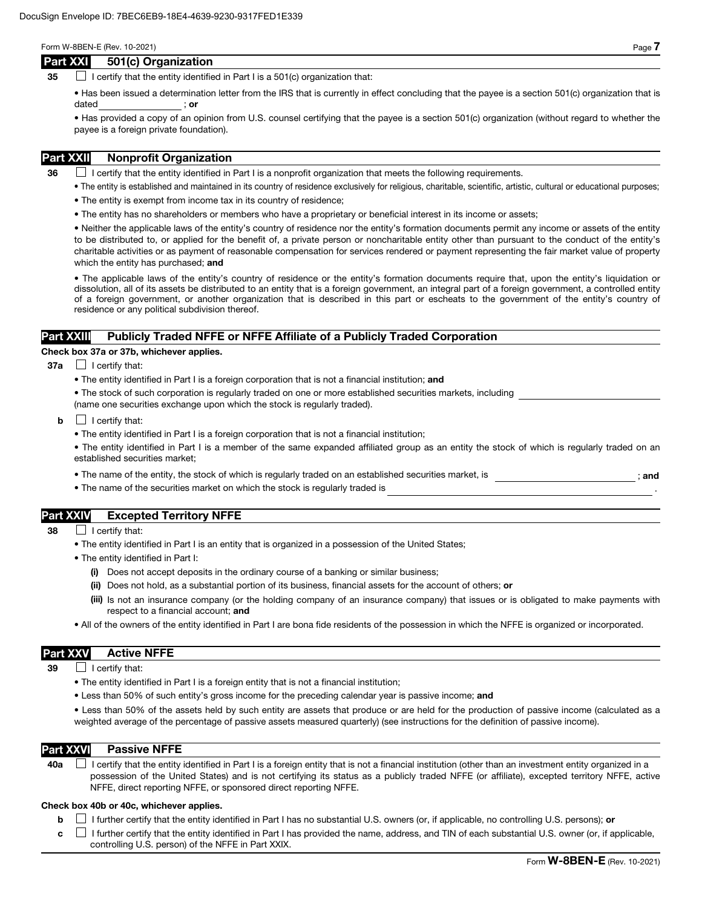### Part XXI 501(c) Organization

35  $\Box$  I certify that the entity identified in Part I is a 501(c) organization that:

• Has been issued a determination letter from the IRS that is currently in effect concluding that the payee is a section 501(c) organization that is dated ; or

• Has provided a copy of an opinion from U.S. counsel certifying that the payee is a section 501(c) organization (without regard to whether the payee is a foreign private foundation).

## Part XXII Nonprofit Organization

 $36$  I certify that the entity identified in Part I is a nonprofit organization that meets the following requirements.

- The entity is established and maintained in its country of residence exclusively for religious, charitable, scientific, artistic, cultural or educational purposes;
- The entity is exempt from income tax in its country of residence;
- The entity has no shareholders or members who have a proprietary or beneficial interest in its income or assets;

• Neither the applicable laws of the entity's country of residence nor the entity's formation documents permit any income or assets of the entity to be distributed to, or applied for the benefit of, a private person or noncharitable entity other than pursuant to the conduct of the entity's charitable activities or as payment of reasonable compensation for services rendered or payment representing the fair market value of property which the entity has purchased; and

• The applicable laws of the entity's country of residence or the entity's formation documents require that, upon the entity's liquidation or dissolution, all of its assets be distributed to an entity that is a foreign government, an integral part of a foreign government, a controlled entity of a foreign government, or another organization that is described in this part or escheats to the government of the entity's country of residence or any political subdivision thereof.

## Part XXIII Publicly Traded NFFE or NFFE Affiliate of a Publicly Traded Corporation

#### Check box 37a or 37b, whichever applies.

- $37a$  | certify that:
	- The entity identified in Part I is a foreign corporation that is not a financial institution; and
	- The stock of such corporation is regularly traded on one or more established securities markets, including (name one securities exchange upon which the stock is regularly traded).
	- $\mathbf{b}$   $\Box$  I certify that:
		- The entity identified in Part I is a foreign corporation that is not a financial institution;

• The entity identified in Part I is a member of the same expanded affiliated group as an entity the stock of which is regularly traded on an established securities market;

- The name of the entity, the stock of which is regularly traded on an established securities market, is  $\cdot$  ; and
- The name of the securities market on which the stock is regularly traded is

# Part XXIV Excepted Territory NFFE

- 38 **I** certify that:
	- The entity identified in Part I is an entity that is organized in a possession of the United States;
	- The entity identified in Part I:
		- (i) Does not accept deposits in the ordinary course of a banking or similar business;
		- (ii) Does not hold, as a substantial portion of its business, financial assets for the account of others; or
		- (iii) Is not an insurance company (or the holding company of an insurance company) that issues or is obligated to make payments with respect to a financial account; and
	- All of the owners of the entity identified in Part I are bona fide residents of the possession in which the NFFE is organized or incorporated.

## Part XXV Active NFFE

 $39$  | I certify that:

- The entity identified in Part I is a foreign entity that is not a financial institution;
- Less than 50% of such entity's gross income for the preceding calendar year is passive income; and

• Less than 50% of the assets held by such entity are assets that produce or are held for the production of passive income (calculated as a weighted average of the percentage of passive assets measured quarterly) (see instructions for the definition of passive income).

#### Part XXVI Passive NFFE

40a  $\Box$  I certify that the entity identified in Part I is a foreign entity that is not a financial institution (other than an investment entity organized in a possession of the United States) and is not certifying its status as a publicly traded NFFE (or affiliate), excepted territory NFFE, active NFFE, direct reporting NFFE, or sponsored direct reporting NFFE.

#### Check box 40b or 40c, whichever applies.

**b**  $\Box$  I further certify that the entity identified in Part I has no substantial U.S. owners (or, if applicable, no controlling U.S. persons); or

 $c \perp$  I further certify that the entity identified in Part I has provided the name, address, and TIN of each substantial U.S. owner (or, if applicable, controlling U.S. person) of the NFFE in Part XXIX.